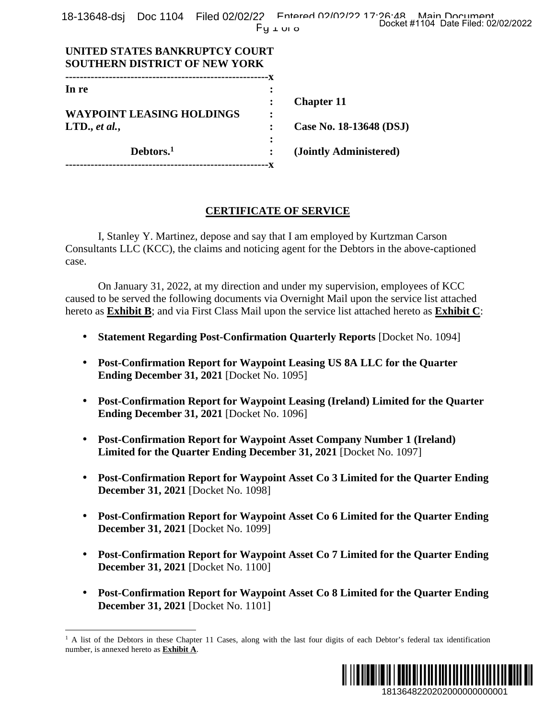|  | 18-13648-dsj Doc 1104 Filed 02/02/22 Fotored 02/02/22 State 17:26:48 Main Document |                                     |
|--|------------------------------------------------------------------------------------|-------------------------------------|
|  | $Fy \perp w$ o                                                                     | Docket #1104 Date Filed: 02/02/2022 |

|                                                                        | Docket #1104 Date Filed: 02/02/2022<br>$Fy \perp w$ o                                                                                                                                                                                                                                                 |
|------------------------------------------------------------------------|-------------------------------------------------------------------------------------------------------------------------------------------------------------------------------------------------------------------------------------------------------------------------------------------------------|
| UNITED STATES BANKRUPTCY COURT<br><b>SOUTHERN DISTRICT OF NEW YORK</b> |                                                                                                                                                                                                                                                                                                       |
| In re                                                                  |                                                                                                                                                                                                                                                                                                       |
| <b>WAYPOINT LEASING HOLDINGS</b>                                       | <b>Chapter 11</b>                                                                                                                                                                                                                                                                                     |
| LTD., $et al.$ ,                                                       | Case No. 18-13648 (DSJ)                                                                                                                                                                                                                                                                               |
| Debtors. $1$                                                           | (Jointly Administered)                                                                                                                                                                                                                                                                                |
|                                                                        |                                                                                                                                                                                                                                                                                                       |
|                                                                        | <b>CERTIFICATE OF SERVICE</b>                                                                                                                                                                                                                                                                         |
| case.                                                                  | I, Stanley Y. Martinez, depose and say that I am employed by Kurtzman Carson<br>Consultants LLC (KCC), the claims and noticing agent for the Debtors in the above-captioned                                                                                                                           |
|                                                                        | On January 31, 2022, at my direction and under my supervision, employees of KCC<br>caused to be served the following documents via Overnight Mail upon the service list attached<br>hereto as <b>Exhibit B</b> ; and via First Class Mail upon the service list attached hereto as <b>Exhibit C</b> : |
| $\bullet$                                                              | <b>Statement Regarding Post-Confirmation Quarterly Reports [Docket No. 1094]</b>                                                                                                                                                                                                                      |
| ٠<br>Ending December 31, 2021 [Docket No. 1095]                        | Post-Confirmation Report for Waypoint Leasing US 8A LLC for the Quarter                                                                                                                                                                                                                               |
| $\bullet$<br>Ending December 31, 2021 [Docket No. 1096]                | Post-Confirmation Report for Waypoint Leasing (Ireland) Limited for the Quarter                                                                                                                                                                                                                       |
| Limited for the Quarter Ending December 31, 2021 [Docket No. 1097]     | <b>Post-Confirmation Report for Waypoint Asset Company Number 1 (Ireland)</b>                                                                                                                                                                                                                         |
| $\bullet$<br><b>December 31, 2021</b> [Docket No. 1098]                | Post-Confirmation Report for Waypoint Asset Co 3 Limited for the Quarter Ending                                                                                                                                                                                                                       |
| $\bullet$<br><b>December 31, 2021</b> [Docket No. 1099]                | Post-Confirmation Report for Waypoint Asset Co 6 Limited for the Quarter Ending                                                                                                                                                                                                                       |
| $\bullet$<br><b>December 31, 2021</b> [Docket No. 1100]                | Post-Confirmation Report for Waypoint Asset Co 7 Limited for the Quarter Ending                                                                                                                                                                                                                       |
| $\bullet$<br><b>December 31, 2021</b> [Docket No. 1101]                | Post-Confirmation Report for Waypoint Asset Co 8 Limited for the Quarter Ending                                                                                                                                                                                                                       |
| number, is annexed hereto as <b>Exhibit A</b> .                        | <sup>1</sup> A list of the Debtors in these Chapter 11 Cases, along with the last four digits of each Debtor's federal tax identification                                                                                                                                                             |
|                                                                        | 1813648220202000000000001                                                                                                                                                                                                                                                                             |

#### **CERTIFICATE OF SERVICE**

- **Statement Regarding Post-Confirmation Quarterly Reports** [Docket No. 1094]
- **Post-Confirmation Report for Waypoint Leasing US 8A LLC for the Quarter Ending December 31, 2021** [Docket No. 1095]
- **Post-Confirmation Report for Waypoint Leasing (Ireland) Limited for the Quarter Ending December 31, 2021** [Docket No. 1096]
- **Post-Confirmation Report for Waypoint Asset Company Number 1 (Ireland) Limited for the Quarter Ending December 31, 2021** [Docket No. 1097]
- **Post-Confirmation Report for Waypoint Asset Co 3 Limited for the Quarter Ending December 31, 2021** [Docket No. 1098]
- **Post-Confirmation Report for Waypoint Asset Co 6 Limited for the Quarter Ending December 31, 2021** [Docket No. 1099]
- **Post-Confirmation Report for Waypoint Asset Co 7 Limited for the Quarter Ending December 31, 2021** [Docket No. 1100]
- **Post-Confirmation Report for Waypoint Asset Co 8 Limited for the Quarter Ending December 31, 2021** [Docket No. 1101]

<sup>&</sup>lt;sup>1</sup> A list of the Debtors in these Chapter 11 Cases, along with the last four digits of each Debtor's federal tax identification number, is annexed hereto as **Exhibit A**.

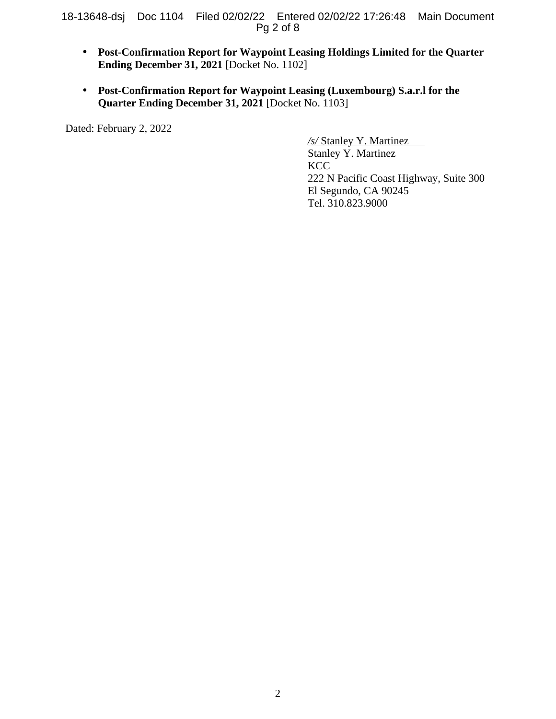18-13648-dsj Doc 1104 Filed 02/02/22 Entered 02/02/22 17:26:48 Main Document Pg 2 of 8

- **Post-Confirmation Report for Waypoint Leasing Holdings Limited for the Quarter Ending December 31, 2021** [Docket No. 1102]
- **Post-Confirmation Report for Waypoint Leasing (Luxembourg) S.a.r.l for the Quarter Ending December 31, 2021** [Docket No. 1103]

Dated: February 2, 2022

 */s/* Stanley Y. Martinez Stanley Y. Martinez **KCC**  222 N Pacific Coast Highway, Suite 300 El Segundo, CA 90245 Tel. 310.823.9000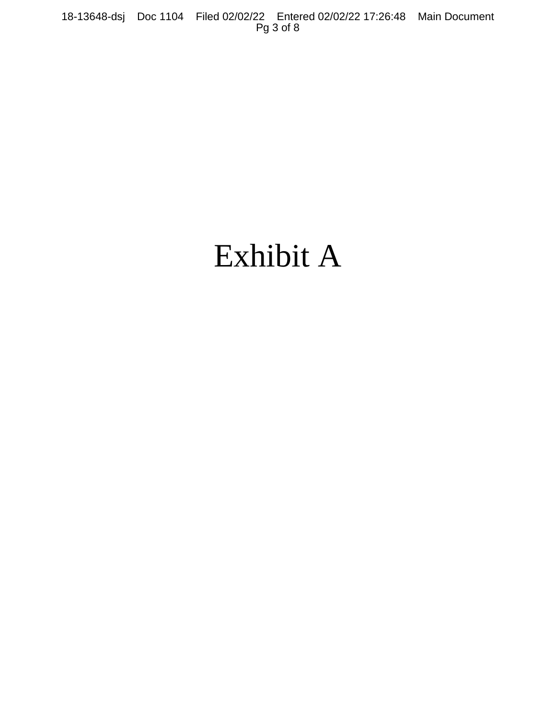18-13648-dsj Doc 1104 Filed 02/02/22 Entered 02/02/22 17:26:48 Main Document Pg 3 of 8

## Exhibit A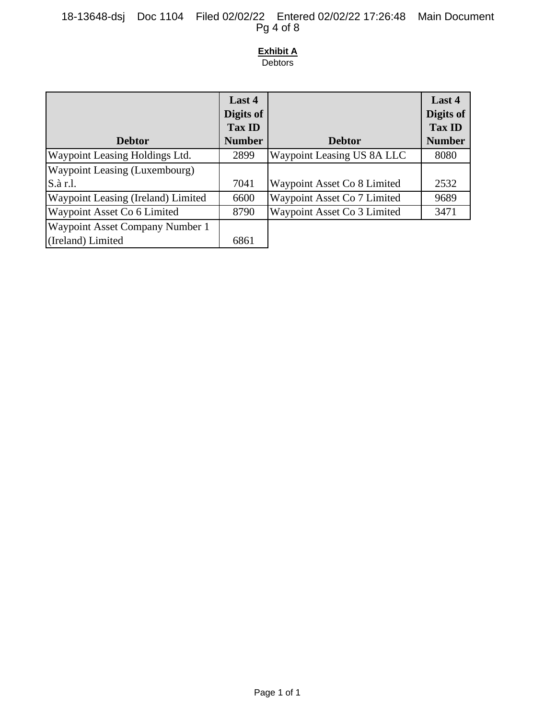#### 18-13648-dsj Doc 1104 Filed 02/02/22 Entered 02/02/22 17:26:48 Main Document Pg 4 of 8

#### **Exhibit A**

**Debtors** 

|                                        | Last 4        |                             | Last 4        |
|----------------------------------------|---------------|-----------------------------|---------------|
|                                        | Digits of     |                             | Digits of     |
|                                        | <b>Tax ID</b> |                             | <b>Tax ID</b> |
| <b>Debtor</b>                          | <b>Number</b> | <b>Debtor</b>               | <b>Number</b> |
| <b>Waypoint Leasing Holdings Ltd.</b>  | 2899          | Waypoint Leasing US 8A LLC  | 8080          |
| <b>Waypoint Leasing (Luxembourg)</b>   |               |                             |               |
| S.à r.l.                               | 7041          | Waypoint Asset Co 8 Limited | 2532          |
| Waypoint Leasing (Ireland) Limited     | 6600          | Waypoint Asset Co 7 Limited | 9689          |
| Waypoint Asset Co 6 Limited            | 8790          | Waypoint Asset Co 3 Limited | 3471          |
| <b>Waypoint Asset Company Number 1</b> |               |                             |               |
| (Ireland) Limited                      | 6861          |                             |               |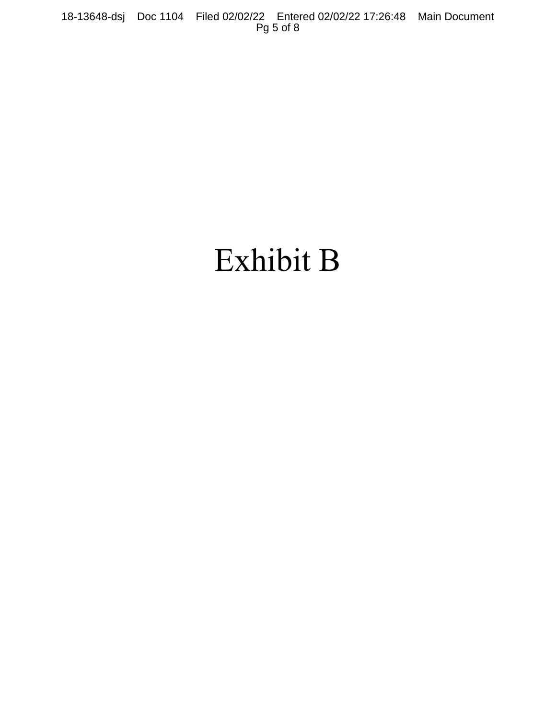18-13648-dsj Doc 1104 Filed 02/02/22 Entered 02/02/22 17:26:48 Main Document Pg 5 of 8

# Exhibit B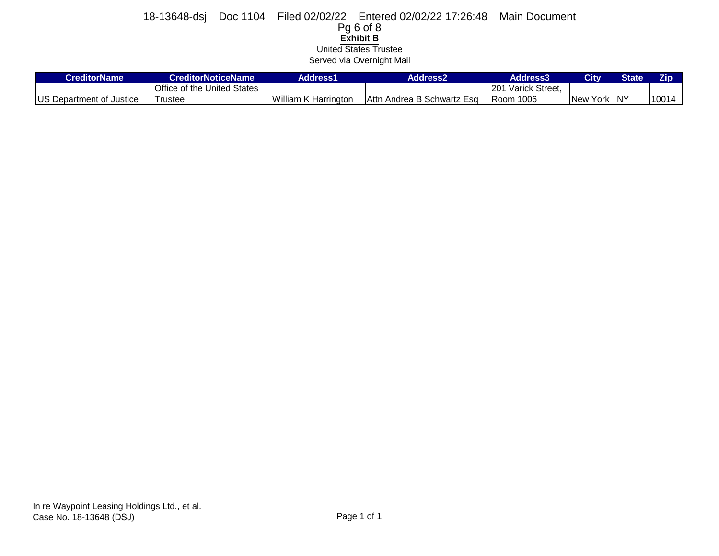## **Exhibit <sup>B</sup>** United States Trustee Served via Overnight Mail 18-13648-dsj Doc 1104 Filed 02/02/22 Entered 02/02/22 17:26:48 Main Document Pg 6 of 8

| <b>CreditorName</b>              | CreditorNoticeName          | Address1                    | <b>Address2</b>             | Address3'           | <b>City</b> | State' | Zip   |
|----------------------------------|-----------------------------|-----------------------------|-----------------------------|---------------------|-------------|--------|-------|
|                                  | Office of the United States |                             |                             | 1201 Varick Street, |             |        |       |
| <b>IUS Department of Justice</b> | Trustee                     | <b>William K Harrington</b> | IAttn Andrea B Schwartz Esg | <b>Room 1006</b>    | New York NY |        | 10014 |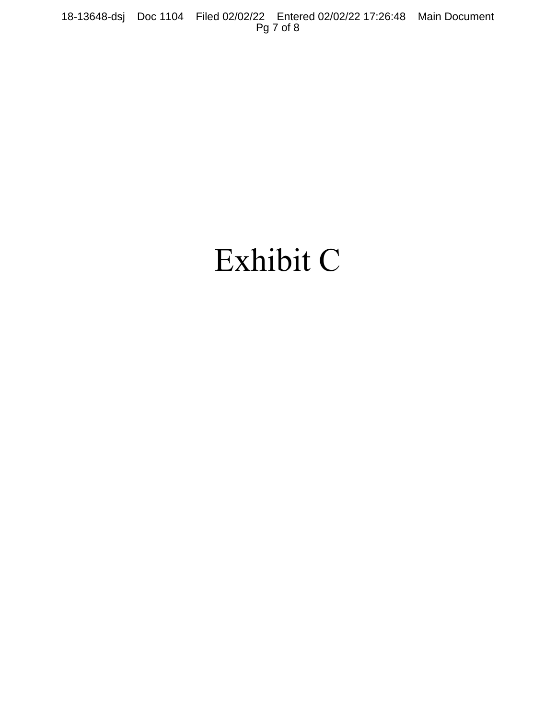18-13648-dsj Doc 1104 Filed 02/02/22 Entered 02/02/22 17:26:48 Main Document Pg 7 of 8

# Exhibit C